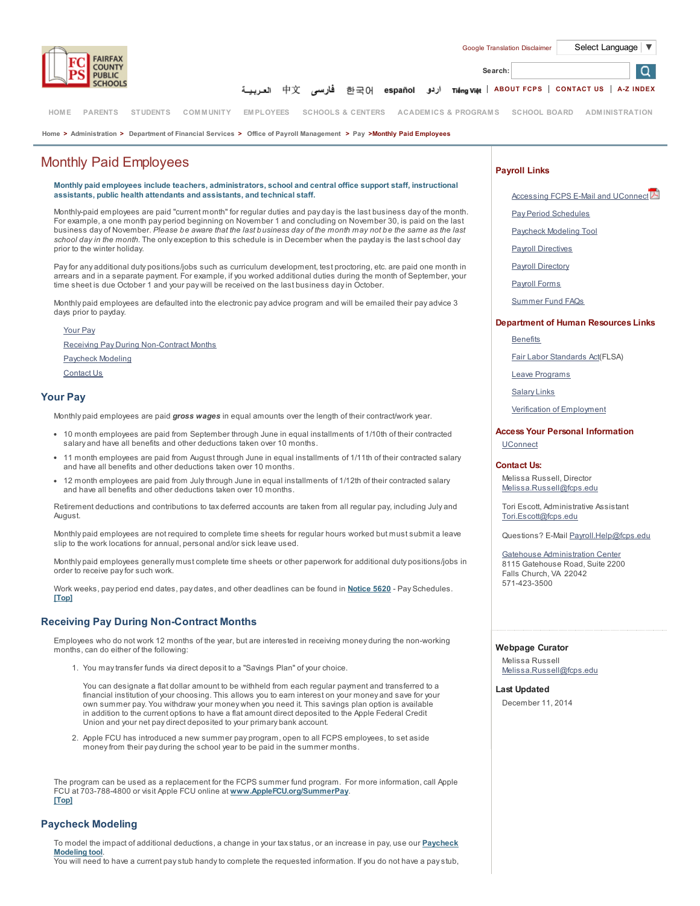

O

فارسى 한국어 español أردو চাəmg việt | [ABOUT](http://www.fcps.edu/about/index.shtml) FCPS | [CONTACT](http://www.fcps.edu/contact.shtml) US | A-Z [INDEX](http://commweb.fcps.edu/siteindex/) 中文

[HOM](http://www.fcps.edu/index.shtml)E [PARENTS](http://www.fcps.edu/parents/index.shtml) [STUDENTS](http://www.fcps.edu/students/index.shtml) COMM[UNITY](http://www.fcps.edu/community/index.shtml) EM[PLOYEES](http://www.fcps.edu/staff/index.shtml) [SCHOOLS](http://commweb.fcps.edu/directory/) & CENTERS ACADEMICS & [PROGRAM](http://www.fcps.edu/academics/index.shtml)S [SCHOOL](http://www.fcps.edu/schlbd/index.shtml) BOARD ADM[INISTRATION](http://www.fcps.edu/admin.shtml)

[Home](http://www.fcps.edu/index.shtml) > [Administration](http://www.fcps.edu/admin.shtml) > [Department](http://www.fcps.edu/fs/index.shtml) of Financial Services > Office of Payroll [Management](http://www.fcps.edu/fs/payroll/index.shtml) > [Pay](http://www.fcps.edu/fs/payroll/pay/index.shtml) >Monthly Paid Employees

# Monthly Paid Employees

Monthly paid employees include teachers, administrators, school and central office support staff, instructional assistants, public health attendants and assistants, and technical staff.

Monthly-paid employees are paid "current month" for regular duties and pay day is the last business day of the month. For example, a one month pay period beginning on November 1 and concluding on November 30, is paid on the last business day of November. Please be aware that the last business day of the month may not be the same as the last school day in the month. The only exception to this schedule is in December when the payday is the last school day prior to the winter holiday.

Pay for any additional duty positions/jobs such as curriculum development, test proctoring, etc. are paid one month in arrears and in a separate payment. For example, if you worked additional duties during the month of September, your<br>time sheet is due October 1 and your pay will be received on the last business day in October.

Monthly paid employees are defaulted into the electronic pay advice program and will be emailed their pay advice 3 days prior to payday.

Your Pay

Receiving Pay During Non-Contract Months Paycheck Modeling Contact Us

## Your Pay

Monthly paid employees are paid gross wages in equal amounts over the length of their contract/work year.

- 10 month employees are paid from September through June in equal installments of 1/10th of their contracted salary and have all benefits and other deductions taken over 10 months.
- 11 month employees are paid from August through June in equal installments of 1/11th of their contracted salary and have all benefits and other deductions taken over 10 months.
- 12 month employees are paid from July through June in equal installments of 1/12th of their contracted salary and have all benefits and other deductions taken over 10 months.

Retirement deductions and contributions to tax deferred accounts are taken from all regular pay, including July and August.

Monthly paid employees are not required to complete time sheets for regular hours worked but must submit a leave slip to the work locations for annual, personal and/or sick leave used.

Monthly paid employees generally must complete time sheets or other paperwork for additional duty positions/jobs in order to receive pay for such work.

Work weeks, pay period end dates, pay dates, and other deadlines can be found in [Notice](http://www.fcps.edu/fs/payroll/policies.shtml) 5620 - Pay Schedules. [Top]

## Receiving Pay During Non-Contract Months

Employees who do not work 12 months of the year, but are interested in receiving money during the non-working months, can do either of the following:

1. You may transfer funds via direct deposit to a "Savings Plan" of your choice.

You can designate a flat dollar amount to be withheld from each regular payment and transferred to a financial institution of your choosing. This allows you to earn interest on your money and save for your own summer pay. You withdraw your money when you need it. This savings plan option is available in addition to the current options to have a flat amount direct deposited to the Apple Federal Credit Union and your net pay direct deposited to your primary bank account.

2. Apple FCU has introduced a new summer pay program, open to all FCPS employees, to set aside money from their pay during the school year to be paid in the summer months.

The program can be used as a replacement for the FCPS summer fund program. For more information, call Apple FCU at 703-788-4800 or visit Apple FCU online at [www.AppleFCU.org/SummerPay](http://www.applefcu.org/SummerPay). [Top]

## Paycheck Modeling

To model the impact of additional [deductions,](http://careers.fcps.edu/payroll/model.shtml) a change in your tax status, or an increase in pay, use our Paycheck Modeling tool. You will need to have a current pay stub handy to complete the requested information. If you do not have a pay stub,

### Payroll Links

Search:

[Accessing](http://www.fcps.edu/fs/payroll/docs/Email&UConnect.pdf) FCPS E-Mail and UConnect

Pay Period [Schedules](http://www.fcps.edu/fs/payroll/pay/payschedules.shtml)

[Paycheck](http://careers.fcps.edu/payroll/model.shtml) Modeling Tool

Payroll [Directives](http://www.fcps.edu/fs/payroll/policies.shtml)

**Payroll [Directory](http://www.fcps.edu/fs/payroll/contact_us.shtml)** 

[Payroll](http://www.fcps.edu/fs/payroll/forms/index.shtml) Forms

[Summer](http://www.fcps.edu/fs/payroll/pay/summerfund.shtml) Fund FAQs

### Department of Human Resources Links

#### **[Benefits](http://www.fcps.edu/hr/benefits/index.shtml)**

Fair Labor [Standards](http://www.fcps.edu/hr/salary/flsa.shtml) Act(FLSA)

Leave [Programs](http://www.fcps.edu/hr/benefits/leavedisability/leaves/index.shtml)

[Salary](http://www.fcps.edu/hr/salary/salaryscales.shtml) Links

Verification of [Employment](http://www.fcps.edu/hr/salary/empver.shtml)

### Access Your Personal Information

[UConnect](http://www.fcps.edu/hr/technology/uconnect.shtml)

#### Contact Us:

Melissa Russell, Director [Melissa.Russell@fcps.edu](mailto:melissa.russell@fcps.edu)

Tori Escott, Administrative Assistant [Tori.Escott@fcps.edu](mailto:Tori.Escott@fcps.edu)

Questions? E-Mail [Payroll.Help@fcps.edu](mailto:Payroll.Help@fcps.edu)

Gatehouse [Administration](http://commweb.fcps.edu/directory/map_base.cfm?locid=5031) Center 8115 Gatehouse Road, Suite 2200 Falls Church, VA 22042 571-423-3500

### Webpage Curator

Melissa Russell [Melissa.Russell@fcps.edu](mailto:MORussell@fcps.edu)

## Last Updated

December 11, 2014